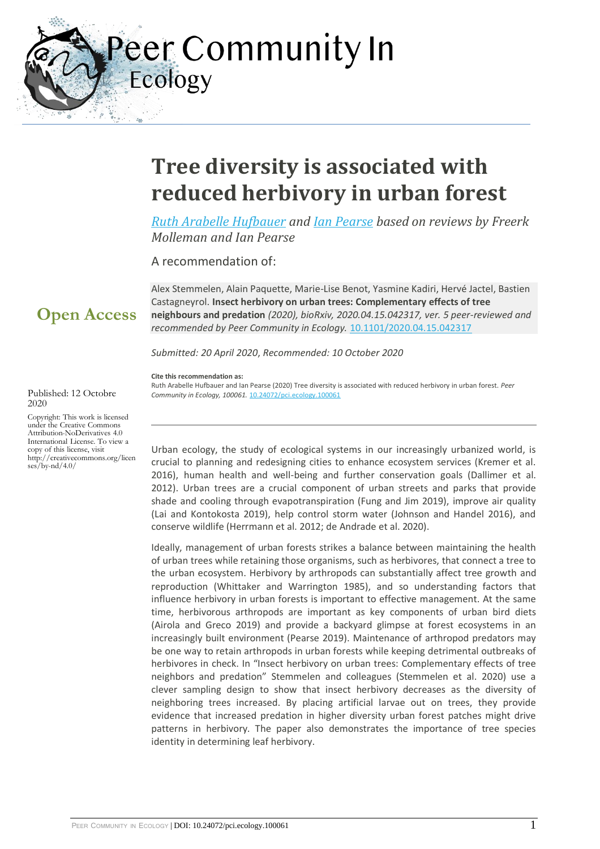eer Community In Ecology

# **Tree diversity is associated with reduced herbivory in urban forest**

*[Ruth Arabelle Hufbauer](https://ecology.peercommunityin.org/public/viewUserCard?userId=30) and [Ian Pearse](https://ecology.peercommunityin.org/public/viewUserCard?userId=88) based on reviews by Freerk Molleman and Ian Pearse*

A recommendation of:

Alex Stemmelen, Alain Paquette, Marie-Lise Benot, Yasmine Kadiri, Hervé Jactel, Bastien Castagneyrol. **Insect herbivory on urban trees: Complementary effects of tree neighbours and predation** *(2020), bioRxiv, 2020.04.15.042317, ver. 5 peer-reviewed and recommended by Peer Community in Ecology.* [10.1101/2020.04.15.042317](https://doi.org/10.1101/2020.04.15.042317)

*Submitted: 20 April 2020*, *Recommended: 10 October 2020*

**Cite this recommendation as:**

Ruth Arabelle Hufbauer and Ian Pearse (2020) Tree diversity is associated with reduced herbivory in urban forest. *Peer Community in Ecology, 100061.* [10.24072/pci.ecology.100061](https://doi.org/10.24072/pci.ecology.100061)

Urban ecology, the study of ecological systems in our increasingly urbanized world, is crucial to planning and redesigning cities to enhance ecosystem services (Kremer et al. 2016), human health and well-being and further conservation goals (Dallimer et al. 2012). Urban trees are a crucial component of urban streets and parks that provide shade and cooling through evapotranspiration (Fung and Jim 2019), improve air quality (Lai and Kontokosta 2019), help control storm water (Johnson and Handel 2016), and conserve wildlife (Herrmann et al. 2012; de Andrade et al. 2020).

Ideally, management of urban forests strikes a balance between maintaining the health of urban trees while retaining those organisms, such as herbivores, that connect a tree to the urban ecosystem. Herbivory by arthropods can substantially affect tree growth and reproduction (Whittaker and Warrington 1985), and so understanding factors that influence herbivory in urban forests is important to effective management. At the same time, herbivorous arthropods are important as key components of urban bird diets (Airola and Greco 2019) and provide a backyard glimpse at forest ecosystems in an increasingly built environment (Pearse 2019). Maintenance of arthropod predators may be one way to retain arthropods in urban forests while keeping detrimental outbreaks of herbivores in check. In "Insect herbivory on urban trees: Complementary effects of tree neighbors and predation" Stemmelen and colleagues (Stemmelen et al. 2020) use a clever sampling design to show that insect herbivory decreases as the diversity of neighboring trees increased. By placing artificial larvae out on trees, they provide evidence that increased predation in higher diversity urban forest patches might drive patterns in herbivory. The paper also demonstrates the importance of tree species identity in determining leaf herbivory.

#### Published: 12 Octobre 2020

**Open Access**

Copyright: This work is licensed under the Creative Commons Attribution-NoDerivatives 4.0 International License. To view a copy of this license, visit http://creativecommons.org/licen ses/by-nd/4.0/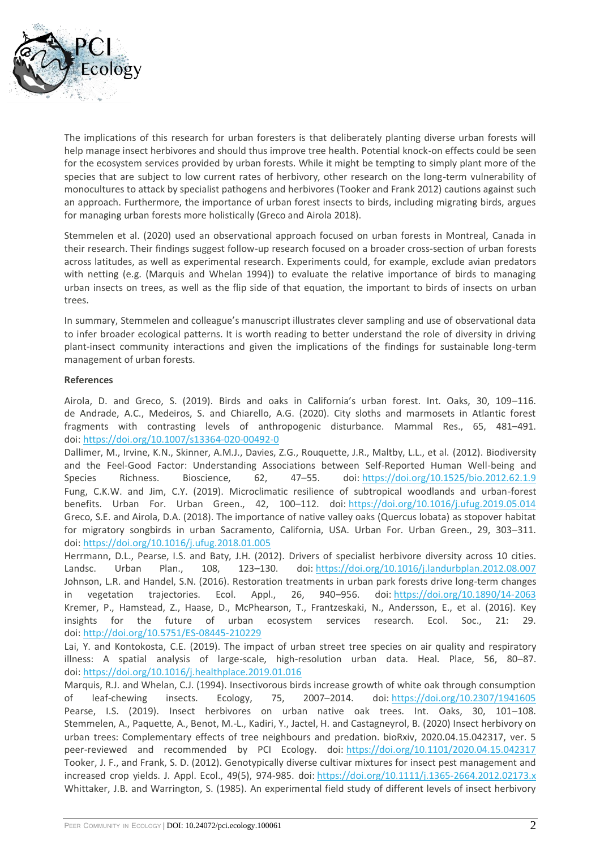

The implications of this research for urban foresters is that deliberately planting diverse urban forests will help manage insect herbivores and should thus improve tree health. Potential knock-on effects could be seen for the ecosystem services provided by urban forests. While it might be tempting to simply plant more of the species that are subject to low current rates of herbivory, other research on the long-term vulnerability of monocultures to attack by specialist pathogens and herbivores (Tooker and Frank 2012) cautions against such an approach. Furthermore, the importance of urban forest insects to birds, including migrating birds, argues for managing urban forests more holistically (Greco and Airola 2018).

Stemmelen et al. (2020) used an observational approach focused on urban forests in Montreal, Canada in their research. Their findings suggest follow-up research focused on a broader cross-section of urban forests across latitudes, as well as experimental research. Experiments could, for example, exclude avian predators with netting (e.g. (Marquis and Whelan 1994)) to evaluate the relative importance of birds to managing urban insects on trees, as well as the flip side of that equation, the important to birds of insects on urban trees.

In summary, Stemmelen and colleague's manuscript illustrates clever sampling and use of observational data to infer broader ecological patterns. It is worth reading to better understand the role of diversity in driving plant-insect community interactions and given the implications of the findings for sustainable long-term management of urban forests.

### **References**

Airola, D. and Greco, S. (2019). Birds and oaks in California's urban forest. Int. Oaks, 30, 109–116. de Andrade, A.C., Medeiros, S. and Chiarello, A.G. (2020). City sloths and marmosets in Atlantic forest fragments with contrasting levels of anthropogenic disturbance. Mammal Res., 65, 481–491. doi: <https://doi.org/10.1007/s13364-020-00492-0>

Dallimer, M., Irvine, K.N., Skinner, A.M.J., Davies, Z.G., Rouquette, J.R., Maltby, L.L., et al. (2012). Biodiversity and the Feel-Good Factor: Understanding Associations between Self-Reported Human Well-being and Species Richness. Bioscience, 62, 47–55. doi: <https://doi.org/10.1525/bio.2012.62.1.9> Fung, C.K.W. and Jim, C.Y. (2019). Microclimatic resilience of subtropical woodlands and urban-forest benefits. Urban For. Urban Green., 42, 100–112. doi: <https://doi.org/10.1016/j.ufug.2019.05.014> Greco, S.E. and Airola, D.A. (2018). The importance of native valley oaks (Quercus lobata) as stopover habitat for migratory songbirds in urban Sacramento, California, USA. Urban For. Urban Green., 29, 303–311. doi: <https://doi.org/10.1016/j.ufug.2018.01.005>

Herrmann, D.L., Pearse, I.S. and Baty, J.H. (2012). Drivers of specialist herbivore diversity across 10 cities. Landsc. Urban Plan., 108, 123–130. doi: <https://doi.org/10.1016/j.landurbplan.2012.08.007> Johnson, L.R. and Handel, S.N. (2016). Restoration treatments in urban park forests drive long-term changes in vegetation trajectories. Ecol. Appl., 26, 940–956. doi: <https://doi.org/10.1890/14-2063> Kremer, P., Hamstead, Z., Haase, D., McPhearson, T., Frantzeskaki, N., Andersson, E., et al. (2016). Key insights for the future of urban ecosystem services research. Ecol. Soc., 21: 29. doi: <http://doi.org/10.5751/ES-08445-210229>

Lai, Y. and Kontokosta, C.E. (2019). The impact of urban street tree species on air quality and respiratory illness: A spatial analysis of large-scale, high-resolution urban data. Heal. Place, 56, 80–87. doi: <https://doi.org/10.1016/j.healthplace.2019.01.016>

Marquis, R.J. and Whelan, C.J. (1994). Insectivorous birds increase growth of white oak through consumption of leaf-chewing insects. Ecology, 75, 2007–2014. doi: <https://doi.org/10.2307/1941605> Pearse, I.S. (2019). Insect herbivores on urban native oak trees. Int. Oaks, 30, 101-108. Stemmelen, A., Paquette, A., Benot, M.-L., Kadiri, Y., Jactel, H. and Castagneyrol, B. (2020) Insect herbivory on urban trees: Complementary effects of tree neighbours and predation. bioRxiv, 2020.04.15.042317, ver. 5 peer-reviewed and recommended by PCI Ecology. doi: <https://doi.org/10.1101/2020.04.15.042317> Tooker, J. F., and Frank, S. D. (2012). Genotypically diverse cultivar mixtures for insect pest management and increased crop yields. J. Appl. Ecol., 49(5), 974-985. doi: <https://doi.org/10.1111/j.1365-2664.2012.02173.x> Whittaker, J.B. and Warrington, S. (1985). An experimental field study of different levels of insect herbivory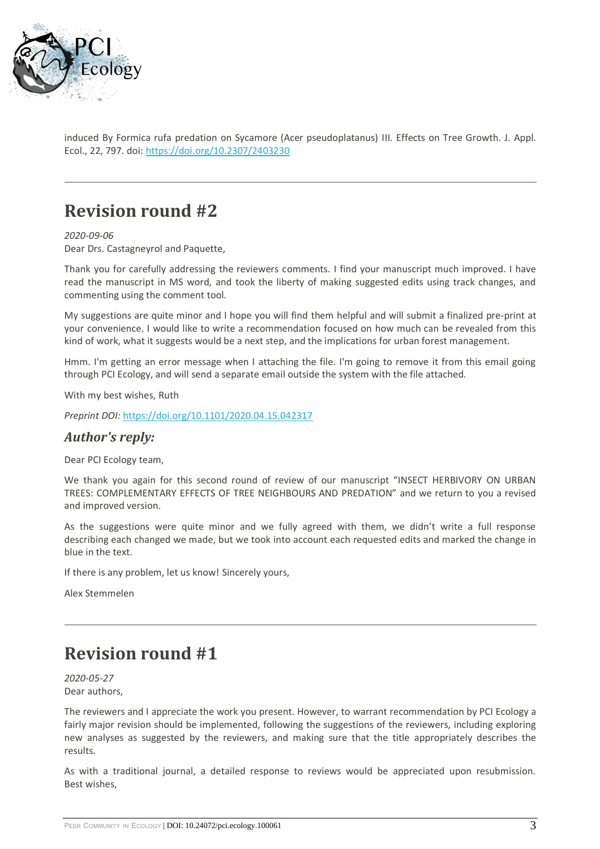

induced By Formica rufa predation on Sycamore (Acer pseudoplatanus) III. Effects on Tree Growth. J. Appl. Ecol., 22, 797. doi: <https://doi.org/10.2307/2403230>

## **Revision round #2**

*2020-09-06* Dear Drs. Castagneyrol and Paquette,

Thank you for carefully addressing the reviewers comments. I find your manuscript much improved. I have read the manuscript in MS word, and took the liberty of making suggested edits using track changes, and commenting using the comment tool.

My suggestions are quite minor and I hope you will find them helpful and will submit a finalized pre-print at your convenience. I would like to write a recommendation focused on how much can be revealed from this kind of work, what it suggests would be a next step, and the implications for urban forest management.

Hmm. I'm getting an error message when I attaching the file. I'm going to remove it from this email going through PCI Ecology, and will send a separate email outside the system with the file attached.

With my best wishes, Ruth

*Preprint DOI:* <https://doi.org/10.1101/2020.04.15.042317>

### *Author's reply:*

Dear PCI Ecology team,

We thank you again for this second round of review of our manuscript "INSECT HERBIVORY ON URBAN TREES: COMPLEMENTARY EFFECTS OF TREE NEIGHBOURS AND PREDATION" and we return to you a revised and improved version.

As the suggestions were quite minor and we fully agreed with them, we didn't write a full response describing each changed we made, but we took into account each requested edits and marked the change in blue in the text.

If there is any problem, let us know! Sincerely yours,

Alex Stemmelen

## **Revision round #1**

*2020-05-27* Dear authors,

The reviewers and I appreciate the work you present. However, to warrant recommendation by PCI Ecology a fairly major revision should be implemented, following the suggestions of the reviewers, including exploring new analyses as suggested by the reviewers, and making sure that the title appropriately describes the results.

As with a traditional journal, a detailed response to reviews would be appreciated upon resubmission. Best wishes,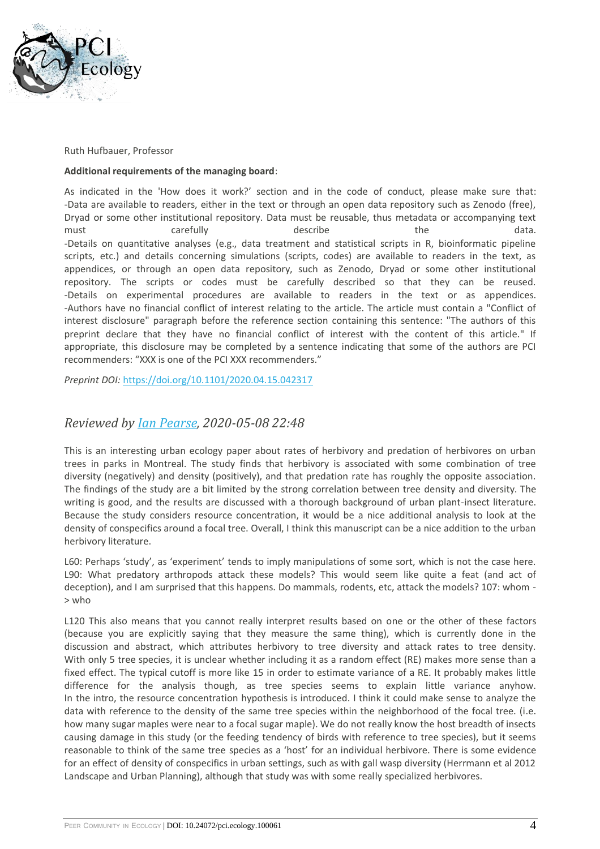

Ruth Hufbauer, Professor

#### **Additional requirements of the managing board**:

As indicated in the 'How does it work?' section and in the code of conduct, please make sure that: -Data are available to readers, either in the text or through an open data repository such as Zenodo (free), Dryad or some other institutional repository. Data must be reusable, thus metadata or accompanying text must the carefully the describe the the data. -Details on quantitative analyses (e.g., data treatment and statistical scripts in R, bioinformatic pipeline scripts, etc.) and details concerning simulations (scripts, codes) are available to readers in the text, as appendices, or through an open data repository, such as Zenodo, Dryad or some other institutional repository. The scripts or codes must be carefully described so that they can be reused. -Details on experimental procedures are available to readers in the text or as appendices. -Authors have no financial conflict of interest relating to the article. The article must contain a "Conflict of interest disclosure" paragraph before the reference section containing this sentence: "The authors of this preprint declare that they have no financial conflict of interest with the content of this article." If appropriate, this disclosure may be completed by a sentence indicating that some of the authors are PCI recommenders: "XXX is one of the PCI XXX recommenders."

*Preprint DOI:* <https://doi.org/10.1101/2020.04.15.042317>

### *Reviewed by [Ian Pearse,](https://ecology.peercommunityin.org/public/viewUserCard?userId=88) 2020-05-08 22:48*

This is an interesting urban ecology paper about rates of herbivory and predation of herbivores on urban trees in parks in Montreal. The study finds that herbivory is associated with some combination of tree diversity (negatively) and density (positively), and that predation rate has roughly the opposite association. The findings of the study are a bit limited by the strong correlation between tree density and diversity. The writing is good, and the results are discussed with a thorough background of urban plant-insect literature. Because the study considers resource concentration, it would be a nice additional analysis to look at the density of conspecifics around a focal tree. Overall, I think this manuscript can be a nice addition to the urban herbivory literature.

L60: Perhaps 'study', as 'experiment' tends to imply manipulations of some sort, which is not the case here. L90: What predatory arthropods attack these models? This would seem like quite a feat (and act of deception), and I am surprised that this happens. Do mammals, rodents, etc, attack the models? 107: whom - > who

L120 This also means that you cannot really interpret results based on one or the other of these factors (because you are explicitly saying that they measure the same thing), which is currently done in the discussion and abstract, which attributes herbivory to tree diversity and attack rates to tree density. With only 5 tree species, it is unclear whether including it as a random effect (RE) makes more sense than a fixed effect. The typical cutoff is more like 15 in order to estimate variance of a RE. It probably makes little difference for the analysis though, as tree species seems to explain little variance anyhow. In the intro, the resource concentration hypothesis is introduced. I think it could make sense to analyze the data with reference to the density of the same tree species within the neighborhood of the focal tree. (i.e. how many sugar maples were near to a focal sugar maple). We do not really know the host breadth of insects causing damage in this study (or the feeding tendency of birds with reference to tree species), but it seems reasonable to think of the same tree species as a 'host' for an individual herbivore. There is some evidence for an effect of density of conspecifics in urban settings, such as with gall wasp diversity (Herrmann et al 2012 Landscape and Urban Planning), although that study was with some really specialized herbivores.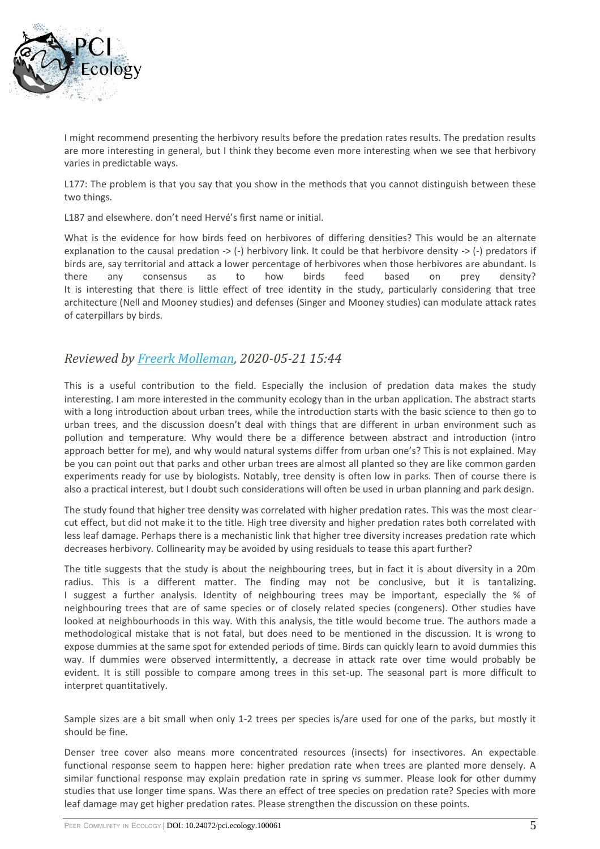

I might recommend presenting the herbivory results before the predation rates results. The predation results are more interesting in general, but I think they become even more interesting when we see that herbivory varies in predictable ways.

L177: The problem is that you say that you show in the methods that you cannot distinguish between these two things.

L187 and elsewhere. don't need Hervé's first name or initial.

What is the evidence for how birds feed on herbivores of differing densities? This would be an alternate explanation to the causal predation -> (-) herbivory link. It could be that herbivore density -> (-) predators if birds are, say territorial and attack a lower percentage of herbivores when those herbivores are abundant. Is there any consensus as to how birds feed based on prey density? It is interesting that there is little effect of tree identity in the study, particularly considering that tree architecture (Nell and Mooney studies) and defenses (Singer and Mooney studies) can modulate attack rates of caterpillars by birds.

### *Reviewed by [Freerk Molleman,](https://ecology.peercommunityin.org/public/viewUserCard?userId=1273) 2020-05-21 15:44*

This is a useful contribution to the field. Especially the inclusion of predation data makes the study interesting. I am more interested in the community ecology than in the urban application. The abstract starts with a long introduction about urban trees, while the introduction starts with the basic science to then go to urban trees, and the discussion doesn't deal with things that are different in urban environment such as pollution and temperature. Why would there be a difference between abstract and introduction (intro approach better for me), and why would natural systems differ from urban one's? This is not explained. May be you can point out that parks and other urban trees are almost all planted so they are like common garden experiments ready for use by biologists. Notably, tree density is often low in parks. Then of course there is also a practical interest, but I doubt such considerations will often be used in urban planning and park design.

The study found that higher tree density was correlated with higher predation rates. This was the most clearcut effect, but did not make it to the title. High tree diversity and higher predation rates both correlated with less leaf damage. Perhaps there is a mechanistic link that higher tree diversity increases predation rate which decreases herbivory. Collinearity may be avoided by using residuals to tease this apart further?

The title suggests that the study is about the neighbouring trees, but in fact it is about diversity in a 20m radius. This is a different matter. The finding may not be conclusive, but it is tantalizing. I suggest a further analysis. Identity of neighbouring trees may be important, especially the % of neighbouring trees that are of same species or of closely related species (congeners). Other studies have looked at neighbourhoods in this way. With this analysis, the title would become true. The authors made a methodological mistake that is not fatal, but does need to be mentioned in the discussion. It is wrong to expose dummies at the same spot for extended periods of time. Birds can quickly learn to avoid dummies this way. If dummies were observed intermittently, a decrease in attack rate over time would probably be evident. It is still possible to compare among trees in this set-up. The seasonal part is more difficult to interpret quantitatively.

Sample sizes are a bit small when only 1-2 trees per species is/are used for one of the parks, but mostly it should be fine.

Denser tree cover also means more concentrated resources (insects) for insectivores. An expectable functional response seem to happen here: higher predation rate when trees are planted more densely. A similar functional response may explain predation rate in spring vs summer. Please look for other dummy studies that use longer time spans. Was there an effect of tree species on predation rate? Species with more leaf damage may get higher predation rates. Please strengthen the discussion on these points.